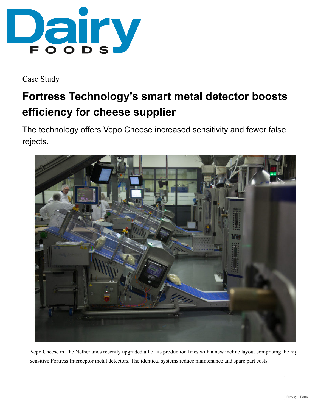

Case Study

# **Fortress Technology's smart metal detector boosts efficiency for cheese supplier**

The technology offers Vepo Cheese increased sensitivity and fewer false rejects.



Vepo Cheese in The Netherlands recently upgraded all of its production lines with a new incline layout comprising the hig sensitive Fortress Interceptor metal detectors. The identical systems reduce maintenance and spare part costs.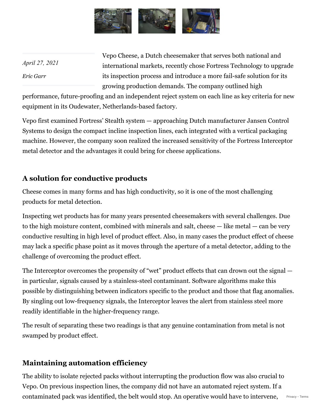

*April 27, 2021 [Eric Garr](https://www.dairyfoods.com/authors/2143-eric-garr)*

Vepo Cheese, a Dutch cheesemaker that serves both national and international markets, recently chose Fortress Technology to upgrade its inspection process and introduce a more fail-safe solution for its growing production demands. The company outlined high

performance, future-proofing and an independent reject system on each line as key criteria for new equipment in its Oudewater, Netherlands-based factory.

Vepo first examined Fortress' Stealth system — approaching Dutch manufacturer Jansen Control Systems to design the compact incline inspection lines, each integrated with a vertical packaging machine. However, the company soon realized the increased sensitivity of the Fortress Interceptor metal detector and the advantages it could bring for cheese applications.

#### **A solution for conductive products**

Cheese comes in many forms and has high conductivity, so it is one of the most challenging products for metal detection.

Inspecting wet products has for many years presented cheesemakers with several challenges. Due to the high moisture content, combined with minerals and salt, cheese — like metal — can be very conductive resulting in high level of product effect. Also, in many cases the product effect of cheese may lack a specific phase point as it moves through the aperture of a metal detector, adding to the challenge of overcoming the product effect.

The Interceptor overcomes the propensity of "wet" product effects that can drown out the signal  $$ in particular, signals caused by a stainless-steel contaminant. Software algorithms make this possible by distinguishing between indicators specific to the product and those that flag anomalies. By singling out low-frequency signals, the Interceptor leaves the alert from stainless steel more readily identifiable in the higher-frequency range.

The result of separating these two readings is that any genuine contamination from metal is not swamped by product effect.

## **Maintaining automation efficiency**

The ability to isolate rejected packs without interrupting the production flow was also crucial to Vepo. On previous inspection lines, the company did not have an automated reject system. If a contaminated pack was identified, the belt would stop. An operative would have to intervene, [Privacy](https://www.google.com/intl/en/policies/privacy/) - [Terms](https://www.google.com/intl/en/policies/terms/)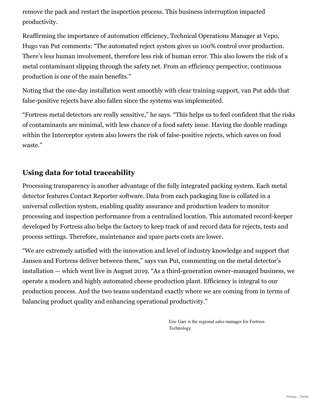remove the pack and restart the inspection process. This business interruption impacted productivity.

Reaffirming the importance of automation efficiency, Technical Operations Manager at Vepo, Hugo van Put comments: "The automated reject system gives us 100% control over production. There's less human involvement, therefore less risk of human error. This also lowers the risk of a metal contaminant slipping through the safety net. From an efficiency perspective, continuous production is one of the main benefits."

Noting that the one-day installation went smoothly with clear training support, van Put adds that false-positive rejects have also fallen since the systems was implemented.

"Fortress metal detectors are really sensitive," he says. "This helps us to feel confident that the risks of contaminants are minimal, with less chance of a food safety issue. Having the double readings within the Interceptor system also lowers the risk of false-positive rejects, which saves on food waste."

### **Using data for total traceability**

Processing transparency is another advantage of the fully integrated packing system. Each metal detector features Contact Reporter software. Data from each packaging line is collated in a universal collection system, enabling quality assurance and production leaders to monitor processing and inspection performance from a centralized location. This automated record-keeper developed by Fortress also helps the factory to keep track of and record data for rejects, tests and process settings. Therefore, maintenance and spare parts costs are lower.

"We are extremely satisfied with the innovation and level of industry knowledge and support that Jansen and Fortress deliver between them," says van Put, commenting on the metal detector's installation — which went live in August 2019. "As a third-generation owner-managed business, we operate a modern and highly automated cheese production plant. Efficiency is integral to our production process. And the two teams understand exactly where we are coming from in terms of balancing product quality and enhancing operational productivity."

> Eric Garr is the regional sales manager for Fortress Technology.